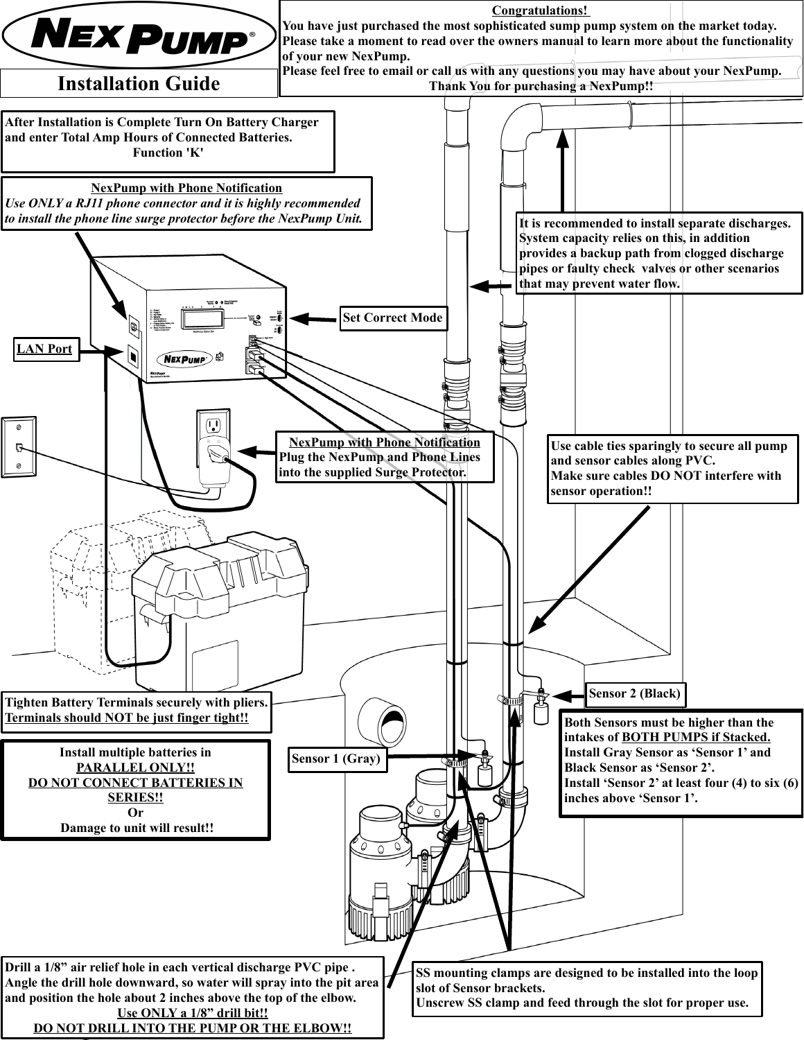